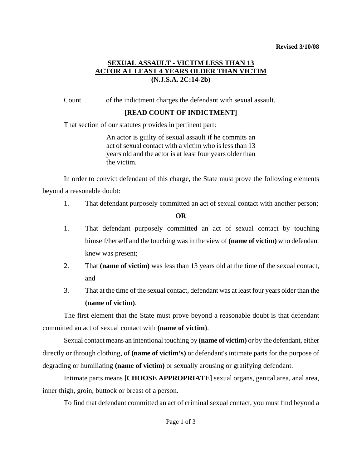#### **Revised 3/10/08**

# **SEXUAL ASSAULT - VICTIM LESS THAN 13 ACTOR AT LEAST 4 YEARS OLDER THAN VICTIM (N.J.S.A. 2C:14-2b)**

Count \_\_\_\_\_\_ of the indictment charges the defendant with sexual assault.

# **[READ COUNT OF INDICTMENT]**

That section of our statutes provides in pertinent part:

An actor is guilty of sexual assault if he commits an act of sexual contact with a victim who is less than 13 years old and the actor is at least four years older than the victim.

In order to convict defendant of this charge, the State must prove the following elements beyond a reasonable doubt:

1. That defendant purposely committed an act of sexual contact with another person;

## **OR**

- 1. That defendant purposely committed an act of sexual contact by touching himself/herself and the touching was in the view of **(name of victim)** who defendant knew was present;
- 2. That **(name of victim)** was less than 13 years old at the time of the sexual contact, and
- 3. That at the time of the sexual contact, defendant was at least four years older than the **(name of victim)**.

The first element that the State must prove beyond a reasonable doubt is that defendant committed an act of sexual contact with **(name of victim)**.

Sexual contact means an intentional touching by **(name of victim)** or by the defendant, either directly or through clothing, of **(name of victim's)** or defendant's intimate parts for the purpose of degrading or humiliating **(name of victim)** or sexually arousing or gratifying defendant.

<span id="page-0-0"></span>Intimate parts means **[CHOOSE APPROPRIATE]** sexual organs, genital area, anal area, inner thigh, groin, buttock or breast of a person.

To find that defendant committed an act of criminal sexual contact, you must find beyond a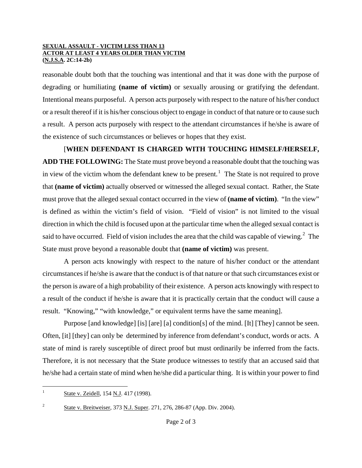#### **SEXUAL ASSAULT - VICTIM LESS THAN 13 ACTOR AT LEAST 4 YEARS OLDER THAN VICTIM (N.J.S.A. 2C:14-2b)**

reasonable doubt both that the touching was intentional and that it was done with the purpose of degrading or humiliating **(name of victim)** or sexually arousing or gratifying the defendant. Intentional means purposeful. A person acts purposely with respect to the nature of his/her conduct or a result thereof if it is his/her conscious object to engage in conduct of that nature or to cause such a result. A person acts purposely with respect to the attendant circumstances if he/she is aware of the existence of such circumstances or believes or hopes that they exist.

[**WHEN DEFENDANT IS CHARGED WITH TOUCHING HIMSELF/HERSELF, ADD THE FOLLOWING:** The State must prove beyond a reasonable doubt that the touching was in view of the victim whom the defendant knew to be present.<sup>[1](#page-0-0)</sup> The State is not required to prove that **(name of victim)** actually observed or witnessed the alleged sexual contact. Rather, the State must prove that the alleged sexual contact occurred in the view of **(name of victim)**. "In the view" is defined as within the victim's field of vision. "Field of vision" is not limited to the visual direction in which the child is focused upon at the particular time when the alleged sexual contact is said to have occurred. Field of vision includes the area that the child was capable of viewing. $2$  The State must prove beyond a reasonable doubt that **(name of victim)** was present.

A person acts knowingly with respect to the nature of his/her conduct or the attendant circumstances if he/she is aware that the conduct is of that nature or that such circumstances exist or the person is aware of a high probability of their existence. A person acts knowingly with respect to a result of the conduct if he/she is aware that it is practically certain that the conduct will cause a result. "Knowing," "with knowledge," or equivalent terms have the same meaning].

Purpose [and knowledge] [is] [are] [a] condition[s] of the mind. [It] [They] cannot be seen. Often, [it] [they] can only be determined by inference from defendant's conduct, words or acts. A state of mind is rarely susceptible of direct proof but must ordinarily be inferred from the facts. Therefore, it is not necessary that the State produce witnesses to testify that an accused said that he/she had a certain state of mind when he/she did a particular thing. It is within your power to find

 $\mathbf{1}$ State v. Zeidell, 154 N.J. 417 (1998).

<span id="page-1-0"></span><sup>2</sup> State v. Breitweiser, 373 N.J. Super. 271, 276, 286-87 (App. Div. 2004).